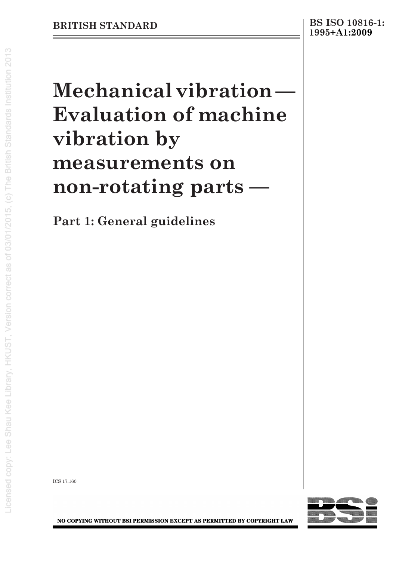# **Mechanical vibration — Evaluation of machine vibration by measurements on non-rotating parts —**

**Part 1: General guidelines**

ICS 17.160



NO COPYING WITHOUT BSI PERMISSION EXCEPT AS PERMITTED BY COPYRIGHT LAW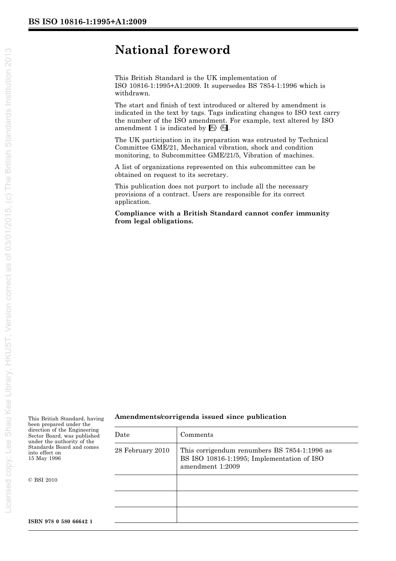# **National foreword**

This British Standard is the UK implementation of ISO 10816-1:1995+A1:2009. It supersedes BS 7854-1:1996 which is withdrawn.

The start and finish of text introduced or altered by amendment is indicated in the text by tags. Tags indicating changes to ISO text carry the number of the ISO amendment. For example, text altered by ISO amendment 1 is indicated by  $A_1$ .

The UK participation in its preparation was entrusted by Technical Committee GME/21, Mechanical vibration, shock and condition monitoring, to Subcommittee GME/21/5, Vibration of machines.

A list of organizations represented on this subcommittee can be obtained on request to its secretary.

This publication does not purport to include all the necessary provisions of a contract. Users are responsible for its correct application.

**Compliance with a British Standard cannot confer immunity from legal obligations.**

This British Standard, having been prepared under the direction of the Engineering Sector Board, was published under the authority of the Standards Board and comes into effect on 15 May 1996

 $\odot$ BSI 2010

#### **Amendments/corrigenda issued since publication**

| Date             | Comments                                                                                                       |
|------------------|----------------------------------------------------------------------------------------------------------------|
| 28 February 2010 | This corrigendum renumbers BS 7854-1:1996 as<br>BS ISO 10816-1:1995; Implementation of ISO<br>amendment 1:2009 |
|                  |                                                                                                                |
|                  |                                                                                                                |
|                  |                                                                                                                |
|                  |                                                                                                                |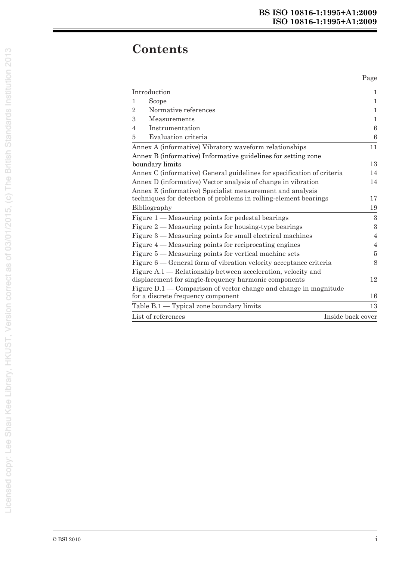# **Contents**

Page

|                                                                     | Introduction                                                           | $\mathbf{1}$      |  |
|---------------------------------------------------------------------|------------------------------------------------------------------------|-------------------|--|
| 1                                                                   | Scope                                                                  | 1                 |  |
| $\overline{2}$                                                      | Normative references                                                   | $\mathbf{1}$      |  |
| 3                                                                   | Measurements                                                           | 1                 |  |
| 4                                                                   | Instrumentation                                                        | $\,6$             |  |
| 5                                                                   | Evaluation criteria                                                    | $\boldsymbol{6}$  |  |
|                                                                     | Annex A (informative) Vibratory waveform relationships                 | 11                |  |
|                                                                     | Annex B (informative) Informative guidelines for setting zone          |                   |  |
|                                                                     | boundary limits                                                        | 13                |  |
|                                                                     | Annex C (informative) General guidelines for specification of criteria | 14                |  |
|                                                                     | Annex D (informative) Vector analysis of change in vibration           |                   |  |
|                                                                     | Annex E (informative) Specialist measurement and analysis              |                   |  |
| techniques for detection of problems in rolling-element bearings    |                                                                        | 17                |  |
| Bibliography                                                        |                                                                        | 19                |  |
|                                                                     | Figure $1$ — Measuring points for pedestal bearings                    | 3                 |  |
|                                                                     | Figure $2$ — Measuring points for housing-type bearings                | 3                 |  |
|                                                                     | Figure $3$ — Measuring points for small electrical machines            | $\overline{4}$    |  |
| Figure 4 — Measuring points for reciprocating engines               |                                                                        |                   |  |
| Figure 5 — Measuring points for vertical machine sets               |                                                                        |                   |  |
| Figure $6$ — General form of vibration velocity acceptance criteria |                                                                        |                   |  |
|                                                                     | Figure A.1 — Relationship between acceleration, velocity and           |                   |  |
| displacement for single-frequency harmonic components               |                                                                        |                   |  |
|                                                                     | Figure $D.1$ — Comparison of vector change and change in magnitude     |                   |  |
|                                                                     | for a discrete frequency component                                     | 16                |  |
|                                                                     | Table $B.1$ - Typical zone boundary limits                             | 13                |  |
|                                                                     | List of references                                                     | Inside back cover |  |
|                                                                     |                                                                        |                   |  |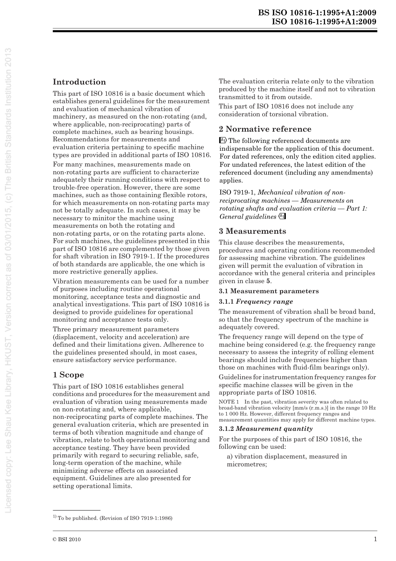# **Introduction**

This part of ISO 10816 is a basic document which establishes general guidelines for the measurement and evaluation of mechanical vibration of machinery, as measured on the non-rotating (and, where applicable, non-reciprocating) parts of complete machines, such as bearing housings. Recommendations for measurements and evaluation criteria pertaining to specific machine types are provided in additional parts of ISO 10816.

For many machines, measurements made on non-rotating parts are sufficient to characterize adequately their running conditions with respect to trouble-free operation. However, there are some machines, such as those containing flexible rotors, for which measurements on non-rotating parts may not be totally adequate. In such cases, it may be necessary to minitor the machine using measurements on both the rotating and non-rotating parts, or on the rotating parts alone. For such machines, the guidelines presented in this part of ISO 10816 are complemented by those given for shaft vibration in ISO 7919-1. If the procedures of both standards are applicable, the one which is more restrictive generally applies.

Vibration measurements can be used for a number of purposes including routine operational monitoring, acceptance tests and diagnostic and analytical investigations. This part of ISO 10816 is designed to provide guidelines for operational monitoring and acceptance tests only.

Three primary measurement parameters (displacement, velocity and acceleration) are defined and their limitations given. Adherence to the guidelines presented should, in most cases, ensure satisfactory service performance.

## **1 Scope**

This part of ISO 10816 establishes general conditions and procedures for the measurement and evaluation of vibration using measurements made on non-rotating and, where applicable, non-reciprocating parts of complete machines. The general evaluation criteria, which are presented in terms of both vibration magnitude and change of vibration, relate to both operational monitoring and acceptance testing. They have been provided primarily with regard to securing reliable, safe, long-term operation of the machine, while minimizing adverse effects on associated equipment. Guidelines are also presented for setting operational limits.

The evaluation criteria relate only to the vibration produced by the machine itself and not to vibration transmitted to it from outside.

This part of ISO 10816 does not include any consideration of torsional vibration.

## **2 Normative reference**

A) The following referenced documents are indispensable for the application of this document. For dated references, only the edition cited applies. For undated references, the latest edition of the referenced document (including any amendments) applies.

ISO 7919-1, *Mechanical vibration of nonreciprocating machines — Measurements on rotating shafts and evaluation criteria — Part 1:*  General guidelines<sup>(A1</sup>

## **3 Measurements**

This clause describes the measurements, procedures and operating conditions recommended for assessing machine vibration. The guidelines given will permit the evaluation of vibration in accordance with the general criteria and principles given in clause **5**.

#### **3.1 Measurement parameters**

#### **3.1.1** *Frequency range*

The measurement of vibration shall be broad band, so that the frequency spectrum of the machine is adequately covered.

The frequency range will depend on the type of machine being considered (e.g. the frequency range necessary to assess the integrity of rolling element bearings should include frequencies higher than those on machines with fluid-film bearings only).

Guidelines for instrumentation frequency ranges for specific machine classes will be given in the appropriate parts of ISO 10816.

NOTE 1 In the past, vibration severity was often related to broad-band vibration velocity [mm/s (r.m.s.)] in the range 10 Hz to 1 000 Hz. However, different frequency ranges and measurement quantities may apply for different machine types.

#### **3.1.2** *Measurement quantity*

For the purposes of this part of ISO 10816, the following can be used:

a) vibration displacement, measured in micrometres;

 $<sup>1</sup>$  To be published. (Revision of ISO 7919-1:1986)</sup>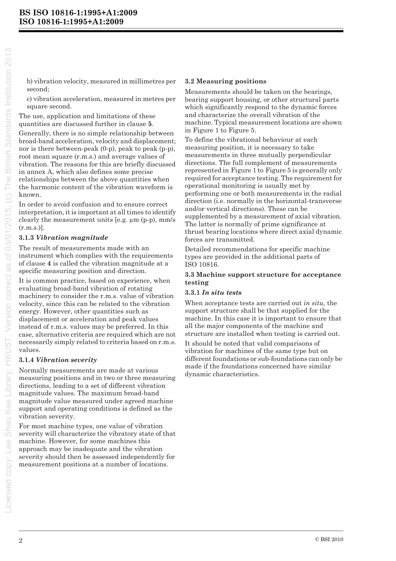b) vibration velocity, measured in millimetres per second;

c) vibration acceleration, measured in metres per square second.

The use, application and limitations of these quantities are discussed further in clause **5**.

Generally, there is no simple relationship between broad-band acceleration, velocity and displacement; nor is there between-peak (0-p), peak to peak (p-p), root mean square (r.m.s.) and average values of vibration. The reasons for this are briefly discussed in annex A, which also defines some precise relationships between the above quantities when the harmonic content of the vibration waveform is known.

In order to avoid confusion and to ensure correct interpretation, it is important at all times to identify clearly the measurement units [e.g. µm (p-p), mm/s  $(r.m.s.)$ ].

#### **3.1.3** *Vibration magnitude*

The result of measurements made with an instrument which complies with the requirements of clause **4** is called the vibration magnitude at a specific measuring position and direction.

It is common practice, based on experience, when evaluating broad-band vibration of rotating machinery to consider the r.m.s. value of vibration velocity, since this can be related to the vibration energy. However, other quantities such as displacement or acceleration and peak values instead of r.m.s. values may be preferred. In this case, alternative criteria are required which are not necessarily simply related to criteria based on r.m.s. values.

#### **3.1.4** *Vibration severity*

Normally measurements are made at various measuring positions and in two or three measuring directions, leading to a set of different vibration magnitude values. The maximum broad-band magnitude value measured under agreed machine support and operating conditions is defined as the vibration severity.

For most machine types, one value of vibration severity will characterize the vibratory state of that machine. However, for some machines this approach may be inadequate and the vibration severity should then be assessed independently for measurement positions at a number of locations.

#### **3.2 Measuring positions**

Measurements should be taken on the bearings, bearing support housing, or other structural parts which significantly respond to the dynamic forces and characterize the overall vibration of the machine. Typical measurement locations are shown in Figure 1 to Figure 5.

To define the vibrational behaviour at each measuring position, it is necessary to take measurements in three mutually perpendicular directions. The full complement of measurements represented in Figure 1 to Figure 5 is generally only required for acceptance testing. The requirement for operational monitoring is usually met by performing one or both measurements in the radial direction (i.e. normally in the horizontal-transverse and/or vertical directions). These can be supplemented by a measurement of axial vibration. The latter is normally of prime significance at thrust bearing locations where direct axial dynamic forces are transmitted.

Detailed recommendations for specific machine types are provided in the additional parts of ISO 10816.

#### **3.3 Machine support structure for acceptance testing**

#### **3.3.1** *In situ tests*

When acceptance tests are carried out *in situ,* the support structure shall be that supplied for the machine. In this case it is important to ensure that all the major components of the machine and structure are installed when testing is carried out.

It should be noted that valid comparisons of vibration for machines of the same type but on different foundations or sub-foundations can only be made if the foundations concerned have similar dynamic characteristics.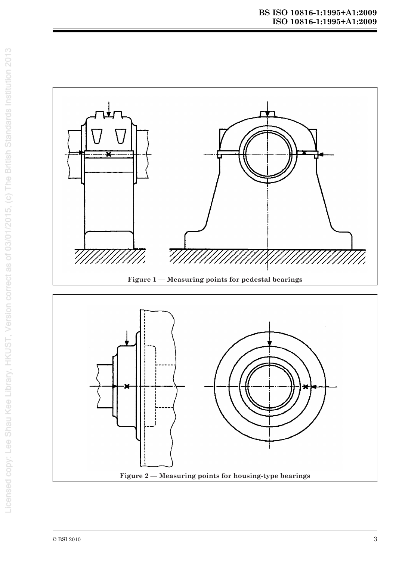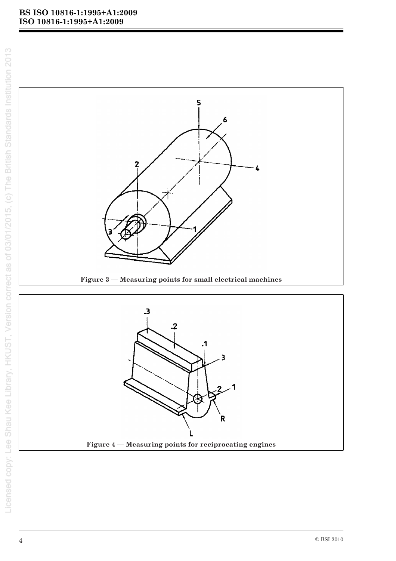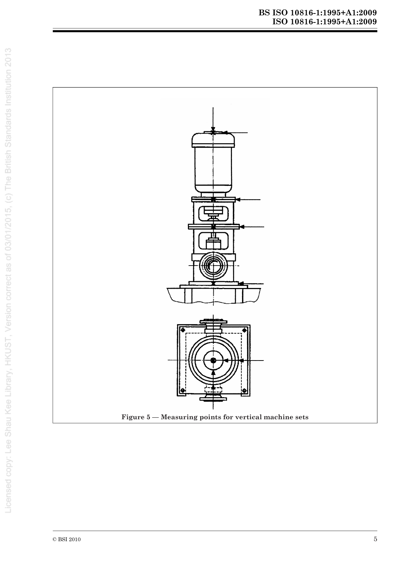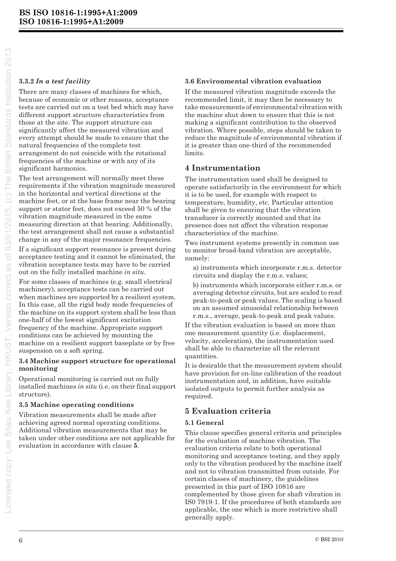#### **3.3.2** *In a test facility*

There are many classes of machines for which, because of economic or other reasons, acceptance tests are carried out on a test bed which may have different support structure characteristics from those at the site. The support structure can significantly affect the measured vibration and every attempt should be made to ensure that the natural frequencies of the complete test arrangement do not coincide with the rotational frequencies of the machine or with any of its significant harmonics.

The test arrangement will normally meet these requirements if the vibration magnitude measured in the horizontal and vertical directions at the machine feet, or at the base frame near the bearing support or stator feet, does not exceed 50 % of the vibration magnitude measured in the same measuring direction at that bearing. Additionally, the test arrangement shall not cause a substantial change in any of the major resonance frequencies.

If a significant support resonance is present during acceptance testing and it cannot be eliminated, the vibration acceptance tests may have to be carried out on the fully installed machine *in situ*.

For some classes of machines (e.g. small electrical machinery), acceptance tests can be carried out when machines are supported by a resilient system. In this case, all the rigid body mode frequencies of the machine on its support system shall be less than one-half of the lowest significant excitation frequency of the machine. Appropriate support conditions can be achieved by mounting the machine on a resilient support baseplate or by free suspension on a soft spring.

#### **3.4 Machine support structure for operational monitoring**

Operational monitoring is carried out on fully installed machines *in situ* (i.e. on their final support structure).

#### **3.5 Machine operating conditions**

Vibration measurements shall be made after achieving agreed normal operating conditions. Additional vibration measurements that may be taken under other conditions are not applicable for evaluation in accordance with clause **5**.

#### **3.6 Environmental vibration evaluation**

If the measured vibration magnitude exceeds the recommended limit, it may then be necessary to take measurements of environmental vibration with the machine shut down to ensure that this is not making a significant contribution to the observed vibration. Where possible, steps should be taken to reduce the magnitude of environmental vibration if it is greater than one-third of the recommended limits.

#### **4 Instrumentation**

The instrumentation used shall be designed to operate satisfactorily in the environment for which it is to be used, for example with respect to temperature, humidity, etc. Particular attention shall be given to ensuring that the vibration transducer is correctly mounted and that its presence does not affect the vibration response characteristics of the machine.

Two instrument systems presently in common use to monitor broad-band vibration are acceptable, namely:

a) instruments which incorporate r.m.s. detector circuits and display the r.m.s. values;

b) instruments which incorporate either r.m.s. or averaging detector circuits, but are scaled to read peak-to-peak or peak values. The scaling is based on an assumed sinusoidal relationship between r.m.s., average, peak-to-peak and peak values.

If the vibration evaluation is based on more than one measurement quantity (i.e. displacement, velocity, acceleration), the instrumentation used shall be able to characterize all the relevant quantities.

It is desirable that the measurement system should have provision for on-line calibration of the readout instrumentation and, in addition, have suitable isolated outputs to permit further analysis as required.

#### **5 Evaluation criteria**

#### **5.1 General**

This clause specifies general criteria and principles for the evaluation of machine vibration. The evaluation criteria relate to both operational monitoring and acceptance testing, and they apply only to the vibration produced by the machine itself and not to vibration transmitted from outside. For certain classes of machinery, the guidelines presented in this part of ISO 10816 are complemented by those given for shaft vibration in IS0 7919-1. If the procedures of both standards are applicable, the one which is more restrictive shall generally apply.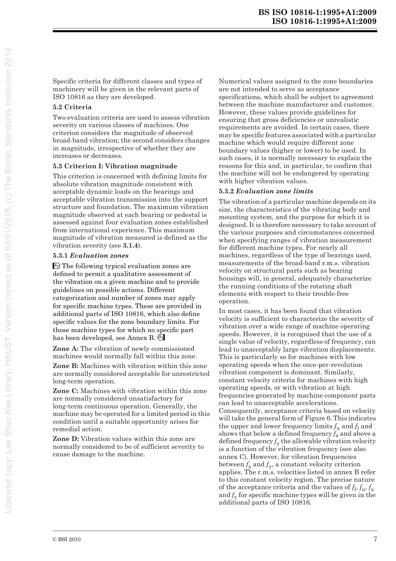Specific criteria for different classes and types of machinery will be given in the relevant parts of ISO 10816 as they are developed.

#### **5.2 Criteria**

Two evaluation criteria are used to assess vibration severity on various classes of machines. One criterion considers the magnitude of observed broad-band vibration; the second considers changes in magnitude, irrespective of whether they are increases or decreases.

#### **5.3 Criterion I: Vibration magnitude**

This criterion is concerned with defining limits for absolute vibration magnitude consistent with acceptable dynamic loads on the bearings and acceptable vibration transmission into the support structure and foundation. The maximum vibration magnitude observed at each bearing or pedestal is assessed against four evaluation zones established from international experience. This maximum magnitude of vibration measured is defined as the vibration severity (see **3.1.4**).

#### **5.3.1** *Evaluation zones*

A) The following typical evaluation zones are has been developed, see Annex B.  $\frac{\mathbb{A}_1}{\mathbb{A}_2}$ defined to permit a qualitative assessment of the vibration on a given machine and to provide guidelines on possible actions. Different categorization and number of zones may apply for specific machine types. These are provided in additional parts of ISO 10816, which also define specific values for the zone boundary limits. For those machine types for which no specific part

**Zone A:** The vibration of newly commissioned machines would normally fall within this zone.

**Zone B:** Machines with vibration within this zone are normally considered acceptable for unrestricted long-term operation.

**Zone C:** Machines with vibration within this zone are normally considered unsatisfactory for long-term continuous operation. Generally, the machine may be operated for a limited period in this condition until a suitable opportunity arises for remedial action.

**Zone D:** Vibration values within this zone are normally considered to be of sufficient severity to cause damage to the machine.

Numerical values assigned to the zone boundaries are not intended to serve as acceptance specifications, which shall be subject to agreement between the machine manufacturer and customer. However, these values provide guidelines for ensuring that gross deficiencies or unrealistic requirements are avoided. In certain cases, there may be specific features associated with a particular machine which would require different zone boundary values (higher or lower) to be used. In such cases, it is normally necessary to explain the reasons for this and, in particular, to confirm that the machine will not be endangered by operating with higher vibration values.

#### **5.3.2** *Evaluation zone limits*

The vibration of a particular machine depends on its size, the characteristics of the vibrating body and mounting system, and the purpose for which it is designed. It is therefore necessary to take account of the various purposes and circumstances concerned when specifying ranges of vibration measurement for different machine types. For nearly all machines, regardless of the type of bearings used, measurements of the broad-band r.m.s. vibration velocity on structural parts such as bearing housings will, in general, adequately characterize the running conditions of the rotating shaft elements with respect to their trouble-free operation.

In most cases, it has been found that vibration velocity is sufficient to characterize the severity of vibration over a wide range of machine operating speeds. However, it is recognised that the use of a single value of velocity, regardless of frequency, can lead to unacceptably large vibration displacements. This is particularly so for machines with low operating speeds when the once-per-revolution vibration component is dominant. Similarly, constant velocity criteria for machines with high operating speeds, or with vibration at high frequencies generated by machine component parts can lead to unacceptable accelerations. Consequently, acceptance criteria based on velocity will take the general form of Figure 6. This indicates the upper and lower frequency limits  $f_u$  and  $f_l$  and shows that below a defined frequency  $f_x$  and above a defined frequency  $f<sub>y</sub>$  the allowable vibration velocity is a function of the vibration frequency (see also annex C). However, for vibration frequencies between  $f_x$  and  $f_y$ , a constant velocity criterion applies. The r.m.s. velocities listed in annex B refer to this constant velocity region. The precise nature of the acceptance criteria and the values of  $f_1, f_2, f_x$ and  $f<sub>y</sub>$  for specific machine types will be given in the additional parts of ISO 10816.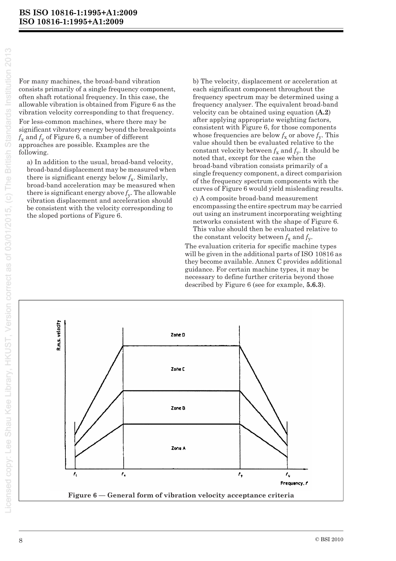For many machines, the broad-band vibration consists primarily of a single frequency component, often shaft rotational frequency. In this case, the allowable vibration is obtained from Figure 6 as the vibration velocity corresponding to that frequency. For less-common machines, where there may be significant vibratory energy beyond the breakpoints  $f_{x}$  and  $f_{y}$  of Figure 6, a number of different approaches are possible. Examples are the following.

a) In addition to the usual, broad-band velocity, broad-band displacement may be measured when there is significant energy below  $f_x$ . Similarly, broad-band acceleration may be measured when there is significant energy above  $f_v$ . The allowable vibration displacement and acceleration should be consistent with the velocity corresponding to the sloped portions of Figure 6.

b) The velocity, displacement or acceleration at each significant component throughout the frequency spectrum may be determined using a frequency analyser. The equivalent broad-band velocity can be obtained using equation (A.2) after applying appropriate weighting factors, consistent with Figure 6, for those components whose frequencies are below  $f_x$  or above  $f_y$ . This value should then be evaluated relative to the constant velocity between  $f_x$  and  $f_y$ . It should be noted that, except for the case when the broad-band vibration consists primarily of a single frequency component, a direct comparision of the frequency spectrum components with the curves of Figure 6 would vield misleading results.

c) A composite broad-band measurement encompassing the entire spectrum may be carried out using an instrument incorporating weighting networks consistent with the shape of Figure 6. This value should then be evaluated relative to the constant velocity between  $f_x$  and  $f_y$ .

The evaluation criteria for specific machine types will be given in the additional parts of ISO 10816 as they become available. Annex C provides additional guidance. For certain machine types, it may be necessary to define further criteria beyond those described by Figure 6 (see for example, 5.6.3).

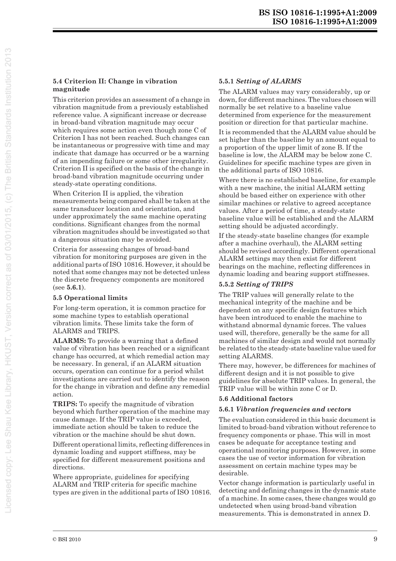#### **5.4 Criterion II: Change in vibration magnitude**

This criterion provides an assessment of a change in vibration magnitude from a previously established reference value. A significant increase or decrease in broad-band vibration magnitude may occur which requires some action even though zone C of Criterion I has not been reached. Such changes can be instantaneous or progressive with time and may indicate that damage has occurred or be a warning of an impending failure or some other irregularity. Criterion II is specified on the basis of the change in broad-band vibration magnitude occurring under steady-state operating conditions.

When Criterion II is applied, the vibration measurements being compared shall be taken at the same transducer location and orientation, and under approximately the same machine operating conditions. Significant changes from the normal vibration magnitudes should be investigated so that a dangerous situation may be avoided.

Criteria for assessing changes of broad-band vibration for monitoring purposes are given in the additional parts of ISO 10816. However, it should be noted that some changes may not be detected unless the discrete frequency components are monitored (see **5.6.1**).

#### **5.5 Operational limits**

For long-term operation, it is common practice for some machine types to establish operational vibration limits. These limits take the form of ALARMS and TRIPS.

**ALARMS:** To provide a warning that a defined value of vibration has been reached or a significant change has occurred, at which remedial action may be necessary. In general, if an ALARM situation occurs, operation can continue for a period whilst investigations are carried out to identify the reason for the change in vibration and define any remedial action.

**TRIPS:** To specify the magnitude of vibration beyond which further operation of the machine may cause damage. If the TRIP value is exceeded, immediate action should be taken to reduce the vibration or the machine should be shut down.

Different operational limits, reflecting differences in dynamic loading and support stiffness, may be specified for different measurement positions and directions.

Where appropriate, guidelines for specifying ALARM and TRIP criteria for specific machine types are given in the additional parts of ISO 10816.

#### **5.5.1** *Setting of ALARMS*

The ALARM values may vary considerably, up or down, for different machines. The values chosen will normally be set relative to a baseline value determined from experience for the measurement position or direction for that particular machine.

It is recommended that the ALARM value should be set higher than the baseline by an amount equal to a proportion of the upper limit of zone B. If the baseline is low, the ALARM may be below zone C. Guidelines for specific machine types are given in the additional parts of ISO 10816.

Where there is no established baseline, for example with a new machine, the initial ALARM setting should be based either on experience with other similar machines or relative to agreed acceptance values. After a period of time, a steady-state baseline value will be established and the ALARM setting should be adjusted accordingly.

If the steady-state baseline changes (for example after a machine overhaul), the ALARM setting should be revised accordingly. Different operational ALARM settings may then exist for different bearings on the machine, reflecting differences in dynamic loading and bearing support stiffnesses.

#### **5.5.2** *Setting of TRIPS*

The TRIP values will generally relate to the mechanical integrity of the machine and be dependent on any specific design features which have been introduced to enable the machine to withstand abnormal dynamic forces. The values used will, therefore, generally be the same for all machines of similar design and would not normally be related to the steady-state baseline value used for setting ALARMS.

There may, however, be differences for machines of different design and it is not possible to give guidelines for absolute TRIP values. In general, the TRIP value will be within zone C or D.

#### **5.6 Additional factors**

#### **5.6.1** *Vibration frequencies and vectors*

The evaluation considered in this basic document is limited to broad-band vibration without reference to frequency components or phase. This will in most cases be adequate for acceptance testing and operational monitoring purposes. However, in some cases the use of vector information for vibration assessment on certain machine types may be desirable.

Vector change information is particularly useful in detecting and defining changes in the dynamic state of a machine. In some cases, these changes would go undetected when using broad-band vibration measurements. This is demonstrated in annex D.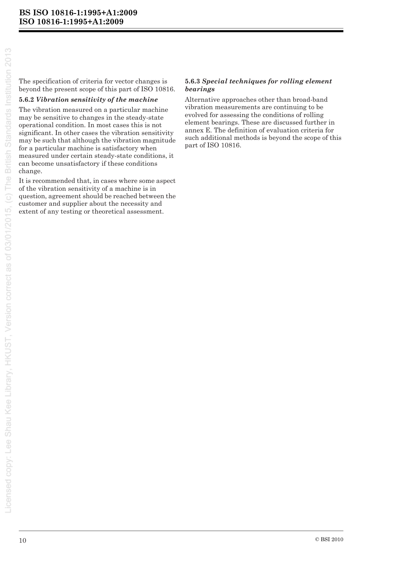The specification of criteria for vector changes is beyond the present scope of this part of ISO 10816.

#### **5.6.2** *Vibration sensitivity of the machine*

The vibration measured on a particular machine may be sensitive to changes in the steady-state operational condition. In most cases this is not significant. In other cases the vibration sensitivity may be such that although the vibration magnitude for a particular machine is satisfactory when measured under certain steady-state conditions, it can become unsatisfactory if these conditions change.

It is recommended that, in cases where some aspect of the vibration sensitivity of a machine is in question, agreement should be reached between the customer and supplier about the necessity and extent of any testing or theoretical assessment.

#### **5.6.3** *Special techniques for rolling element bearings*

Alternative approaches other than broad-band vibration measurements are continuing to be evolved for assessing the conditions of rolling element bearings. These are discussed further in annex E. The definition of evaluation criteria for such additional methods is beyond the scope of this part of ISO 10816.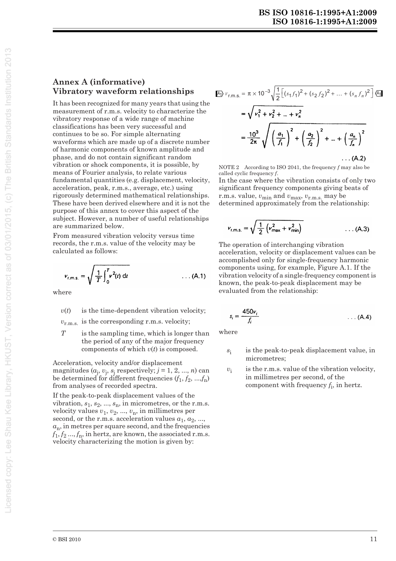#### **Annex A (informative)** Vibratory waveform relationships

It has been recognized for many years that using the measurement of r.m.s. velocity to characterize the vibratory response of a wide range of machine classifications has been very successful and continues to be so. For simple alternating waveforms which are made up of a discrete number of harmonic components of known amplitude and phase, and do not contain significant random vibration or shock components, it is possible, by means of Fourier analysis, to relate various fundamental quantities (e.g. displacement, velocity, acceleration, peak, r.m.s., average, etc.) using rigorously determined mathematical relationships. These have been derived elsewhere and it is not the purpose of this annex to cover this aspect of the subject. However, a number of useful relationships are summarized below.

From measured vibration velocity versus time records, the r.m.s. value of the velocity may be calculated as follows:

$$
v_{r,m,s.} = \sqrt{\frac{1}{T} \int_0^T v^2(t) dt}
$$
 ... (A.1)

where

is the time-dependent vibration velocity;  $v(t)$ 

 $v_{\rm r.m.s.}$  is the corresponding r.m.s. velocity;

 $T$ is the sampling time, which is longer than the period of any of the major frequency components of which  $v(t)$  is composed.

Acceleration, velocity and/or displacement magnitudes  $(a_i, v_i, s_i$  respectively;  $j = 1, 2, ..., n$ ) can be determined for different frequencies  $(f_1, f_2, ..., f_n)$ from analyses of recorded spectra.

If the peak-to-peak displacement values of the vibration,  $s_1$ ,  $s_2$ , ...,  $s_n$ , in micrometres, or the r.m.s. velocity values  $v_1$ ,  $v_2$ , ...,  $v_n$ , in millimetres per second, or the r.m.s. acceleration values  $a_1, a_2, ...,$  $a_n$ , in metres per square second, and the frequencies  $f_1, f_2, ..., f_n$ , in hertz, are known, the associated r.m.s. velocity characterizing the motion is given by:

$$
\begin{split} \n\text{A)} \, v_{\text{r.m.s.}} &= \pi \times 10^{-3} \sqrt{\frac{1}{2} \left[ \left( s_1 f_1 \right)^2 + \left( s_2 f_2 \right)^2 + \dots + \left( s_n f_n \right)^2 \right]} \, \text{A} \n\end{split}
$$
\n
$$
= \sqrt{v_1^2 + v_2^2 + \dots + v_n^2}
$$
\n
$$
= \frac{10^3}{2\pi} \sqrt{\left( \frac{a_1}{f_1} \right)^2 + \left( \frac{a_2}{f_2} \right)^2 + \dots + \left( \frac{a_n}{f_n} \right)^2}
$$
\n
$$
\dots \text{(A.2)}
$$

NOTE 2 According to ISO 2041, the frequency  $f$  may also be called cyclic frequency  $f$ .

In the case where the vibration consists of only two significant frequency components giving beats of r.m.s. value,  $v_{\min}$  and  $v_{\max}$ ,  $v_{\text{r.m.s.}}$  may be determined approximately from the relationship:

$$
v_{r,m,s.} = \sqrt{\frac{1}{2} \left( v_{max}^2 + v_{min}^2 \right)}
$$
 (A.3)

The operation of interchanging vibration acceleration, velocity or displacement values can be accomplished only for single-frequency harmonic components using, for example, Figure A.1. If the vibration velocity of a single-frequency component is known, the peak-to-peak displacement may be evaluated from the relationship:

$$
s_i = \frac{450v_i}{f_i} \tag{A.4}
$$

where

- is the peak-to-peak displacement value, in  $S_1$ micrometres:
- is the r.m.s. value of the vibration velocity,  $v_i$ in millimetres per second, of the component with frequency  $f_i$ , in hertz.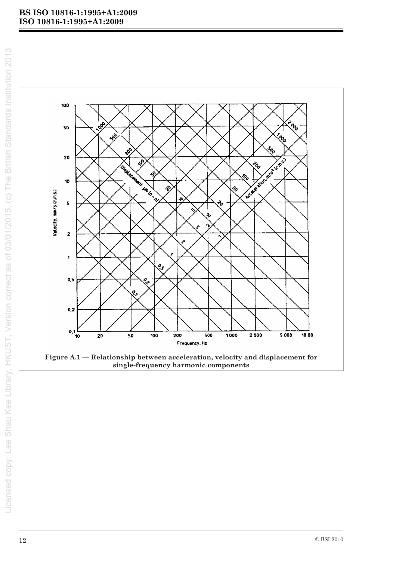



Figure A.1 - Relationship between acceleration, velocity and displacement for single-frequency harmonic components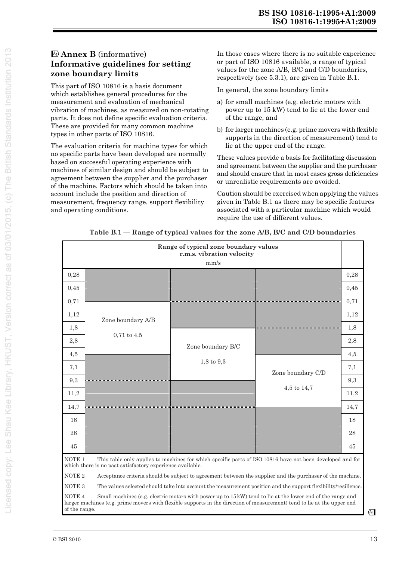### **Annex B** (informative) **Informative guidelines for setting zone boundary limits**

This part of ISO 10816 is a basis document which establishes general procedures for the measurement and evaluation of mechanical vibration of machines, as measured on non-rotating parts. It does not define specific evaluation criteria. These are provided for many common machine types in other parts of ISO 10816.

The evaluation criteria for machine types for which no specific parts have been developed are normally based on successful operating experience with machines of similar design and should be subject to agreement between the supplier and the purchaser of the machine. Factors which should be taken into account include the position and direction of measurement, frequency range, support flexibility and operating conditions.

In those cases where there is no suitable experience or part of ISO 10816 available, a range of typical values for the zone A/B, B/C and C/D boundaries, respectively (see 5.3.1), are given in Table B.1.

In general, the zone boundary limits

- a) for small machines (e.g. electric motors with power up to 15 kW) tend to lie at the lower end of the range, and
- b) for larger machines (e.g. prime movers with flexible supports in the direction of measurement) tend to lie at the upper end of the range.

These values provide a basis for facilitating discussion and agreement between the supplier and the purchaser and should ensure that in most cases gross deficiencies or unrealistic requirements are avoided.

Caution should be exercised when applying the values given in Table B.1 as there may be specific features associated with a particular machine which would require the use of different values.

| Table B.1 — Range of typical values for the zone A/B, B/C and C/D boundaries |  |  |  |
|------------------------------------------------------------------------------|--|--|--|
|                                                                              |  |  |  |
|                                                                              |  |  |  |

|                                                                                                                                                                                                                                                                             | Range of typical zone boundary values<br>r.m.s. vibration velocity<br>mm/s                                                                                                                  |                       |                   |      |  |  |  |  |  |
|-----------------------------------------------------------------------------------------------------------------------------------------------------------------------------------------------------------------------------------------------------------------------------|---------------------------------------------------------------------------------------------------------------------------------------------------------------------------------------------|-----------------------|-------------------|------|--|--|--|--|--|
| 0,28                                                                                                                                                                                                                                                                        |                                                                                                                                                                                             |                       |                   | 0,28 |  |  |  |  |  |
| 0,45                                                                                                                                                                                                                                                                        |                                                                                                                                                                                             |                       |                   | 0,45 |  |  |  |  |  |
| 0,71                                                                                                                                                                                                                                                                        | Zone boundary A/B                                                                                                                                                                           | Zone boundary B/C     |                   | 0,71 |  |  |  |  |  |
| 1,12                                                                                                                                                                                                                                                                        |                                                                                                                                                                                             |                       |                   | 1,12 |  |  |  |  |  |
| 1,8                                                                                                                                                                                                                                                                         |                                                                                                                                                                                             |                       |                   | 1,8  |  |  |  |  |  |
| 2,8                                                                                                                                                                                                                                                                         | $0,71$ to $4,5$                                                                                                                                                                             |                       |                   | 2,8  |  |  |  |  |  |
| 4,5                                                                                                                                                                                                                                                                         |                                                                                                                                                                                             |                       |                   | 4,5  |  |  |  |  |  |
| 7,1                                                                                                                                                                                                                                                                         |                                                                                                                                                                                             | $1,8 \text{ to } 9,3$ | Zone boundary C/D | 7,1  |  |  |  |  |  |
| 9,3                                                                                                                                                                                                                                                                         |                                                                                                                                                                                             |                       | $4,5$ to $14,7$   | 9,3  |  |  |  |  |  |
| 11,2                                                                                                                                                                                                                                                                        |                                                                                                                                                                                             |                       |                   | 11,2 |  |  |  |  |  |
| 14,7                                                                                                                                                                                                                                                                        |                                                                                                                                                                                             |                       |                   | 14,7 |  |  |  |  |  |
| 18                                                                                                                                                                                                                                                                          |                                                                                                                                                                                             |                       |                   | 18   |  |  |  |  |  |
| 28                                                                                                                                                                                                                                                                          |                                                                                                                                                                                             |                       |                   | 28   |  |  |  |  |  |
| 45                                                                                                                                                                                                                                                                          |                                                                                                                                                                                             |                       |                   | 45   |  |  |  |  |  |
|                                                                                                                                                                                                                                                                             | NOTE <sub>1</sub><br>This table only applies to machines for which specific parts of ISO 10816 have not been developed and for<br>which there is no past satisfactory experience available. |                       |                   |      |  |  |  |  |  |
|                                                                                                                                                                                                                                                                             | NOTE <sub>2</sub><br>Acceptance criteria should be subject to agreement between the supplier and the purchaser of the machine.                                                              |                       |                   |      |  |  |  |  |  |
|                                                                                                                                                                                                                                                                             | NOTE <sub>3</sub><br>The values selected should take into account the measurement position and the support flexibility/resilience.                                                          |                       |                   |      |  |  |  |  |  |
| NOTE <sub>4</sub><br>Small machines (e.g. electric motors with power up to 15 kW) tend to lie at the lower end of the range and<br>larger machines (e.g. prime movers with flexible supports in the direction of measurement) tend to lie at the upper end<br>of the range. |                                                                                                                                                                                             |                       |                   |      |  |  |  |  |  |

 $(A_1)$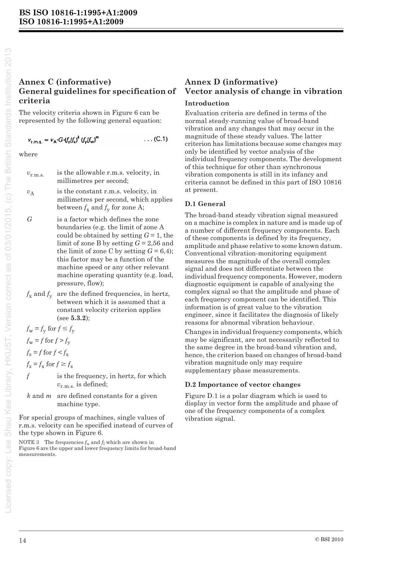#### **Annex C (informative) General guidelines for specification of criteria**

The velocity criteria shown in Figure 6 can be represented by the following general equation:

$$
v_{r.m.s.} = v_A \cdot G \cdot (f_z/f_x)^k (f_y/f_w)^m \qquad \qquad \dots (C.1)
$$

where

 $v_{r.m.s.}$  is the allowable r.m.s. velocity, in millimetres per second;

 $v_A$  is the constant r.m.s. velocity, in millimetres per second, which applies between  $f_x$  and  $f_y$  for zone A;

*G* is a factor which defines the zone boundaries (e.g. the limit of zone A could be obtained by setting  $G = 1$ , the limit of zone B by setting *G* = 2,56 and the limit of zone C by setting  $G = 6,4$ ); this factor may be a function of the machine speed or any other relevant machine operating quantity (e.g. load, pressure, flow);

 $f_x$  and  $f_y$  are the defined frequencies, in hertz, between which it is assumed that a constant velocity criterion applies (see **5.3.2**);

 $f_{\rm w} = f_{\rm y}$  for  $f \le f_{\rm y}$ 

 $f_w = f$  for  $f > f_v$ 

 $f<sub>z</sub> = f$  for  $f < f<sub>x</sub>$ 

 $f_{\rm z} = f_{\rm x}$  for  $f \ge f_{\rm x}$ 

*f* is the frequency, in hertz, for which *v*r.m.s. is defined;

*k* and *m* are defined constants for a given machine type.

For special groups of machines, single values of r.m.s. velocity can be specified instead of curves of the type shown in Figure 6.

NOTE 3 The frequencies  $f_u$  and  $f_l$  which are shown in Figure 6 are the upper and lower frequency limits for broad-band measurements.

# **Annex D (informative) Vector analysis of change in vibration**

#### **Introduction**

Evaluation criteria are defined in terms of the normal steady-running value of broad-band vibration and any changes that may occur in the magnitude of these steady values. The latter criterion has limitations because some changes may only be identified by vector analysis of the individual frequency components. The development of this technique for other than synchronous vibration components is still in its infancy and criteria cannot be defined in this part of ISO 10816 at present.

#### **D.1 General**

The broad-band steady vibration signal measured on a machine is complex in nature and is made up of a number of different frequency components. Each of these components is defined by its frequency, amplitude and phase relative to some known datum. Conventional vibration-monitoring equipment measures the magnitude of the overall complex signal and does not differentiate between the individual frequency components. However, modern diagnostic equipment is capable of analysing the complex signal so that the amplitude and phase of each frequency component can be identified. This information is of great value to the vibration engineer, since it facilitates the diagnosis of likely reasons for abnormal vibration behaviour.

Changes in individual frequency components, which may be significant, are not necessarily reflected to the same degree in the broad-band vibration and, hence, the criterion based on changes of broad-band vibration magnitude only may require supplementary phase measurements.

#### **D.2 Importance of vector changes**

Figure D.1 is a polar diagram which is used to display in vector form the amplitude and phase of one of the frequency components of a complex vibration signal.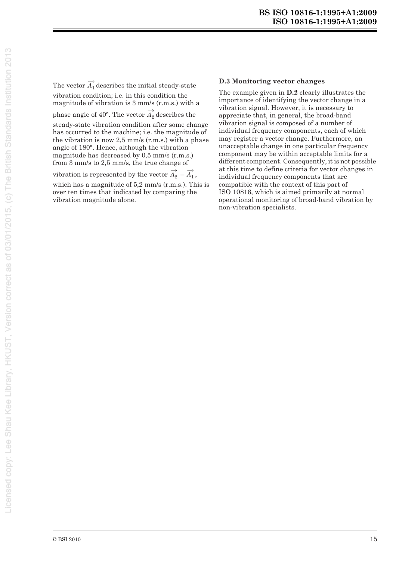The vector  $A_1$ <sup>*d*</sup> describes the initial steady-state vibration condition; i.e. in this condition the magnitude of vibration is 3 mm/s (r.m.s.) with a

phase angle of  $40^{\circ}$ . The vector  $A_2^{'}$  describes the

steady-state vibration condition after some change has occurred to the machine; i.e. the magnitude of the vibration is now 2,5 mm/s (r.m.s.) with a phase angle of 180°. Hence, although the vibration magnitude has decreased by 0,5 mm/s (r.m.s.) from 3 mm/s to 2,5 mm/s, the true change of

vibration is represented by the vector  $A_2 - A_1$ , which has a magnitude of 5,2 mm/s (r.m.s.). This is over ten times that indicated by comparing the vibration magnitude alone.

#### **D.3 Monitoring vector changes**

The example given in **D.2** clearly illustrates the importance of identifying the vector change in a vibration signal. However, it is necessary to appreciate that, in general, the broad-band vibration signal is composed of a number of individual frequency components, each of which may register a vector change. Furthermore, an unacceptable change in one particular frequency component may be within acceptable limits for a different component. Consequently, it is not possible at this time to define criteria for vector changes in individual frequency components that are compatible with the context of this part of ISO 10816, which is aimed primarily at normal operational monitoring of broad-band vibration by non-vibration specialists.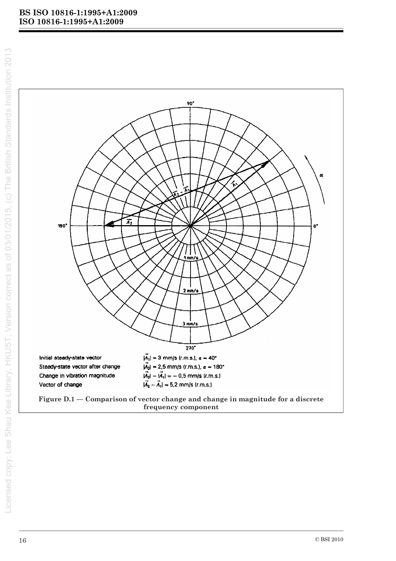



frequency component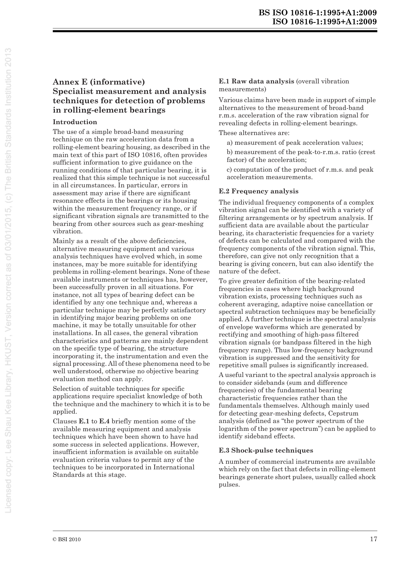#### **Annex E (informative) Specialist measurement and analysis techniques for detection of problems in rolling-element bearings**

#### **Introduction**

The use of a simple broad-band measuring technique on the raw acceleration data from a rolling-element bearing housing, as described in the main text of this part of ISO 10816, often provides sufficient information to give guidance on the running conditions of that particular bearing, it is realized that this simple technique is not successful in all circumstances. In particular, errors in assessment may arise if there are significant resonance effects in the bearings or its housing within the measurement frequency range, or if significant vibration signals are transmitted to the bearing from other sources such as gear-meshing vibration.

Mainly as a result of the above deficiencies, alternative measuring equipment and various analysis techniques have evolved which, in some instances, may be more suitable for identifying problems in rolling-element bearings. None of these available instruments or techniques has, however, been successfully proven in all situations. For instance, not all types of bearing defect can be identified by any one technique and, whereas a particular technique may be perfectly satisfactory in identifying major bearing problems on one machine, it may be totally unsuitable for other installations. In all cases, the general vibration characteristics and patterns are mainly dependent on the specific type of bearing, the structure incorporating it, the instrumentation and even the signal processing. All of these phenomena need to be well understood, otherwise no objective bearing evaluation method can apply.

Selection of suitable techniques for specific applications require specialist knowledge of both the technique and the machinery to which it is to be applied.

Clauses **E.1** to **E.4** briefly mention some of the available measuring equipment and analysis techniques which have been shown to have had some success in selected applications. However, insufficient information is available on suitable evaluation criteria values to permit any of the techniques to be incorporated in International Standards at this stage.

#### **E.1 Raw data analysis** (overall vibration measurements)

Various claims have been made in support of simple alternatives to the measurement of broad-band r.m.s. acceleration of the raw vibration signal for revealing defects in rolling-element bearings.

These alternatives are:

- a) measurement of peak acceleration values;
- b) measurement of the peak-to-r.m.s. ratio (crest factor) of the acceleration;
- c) computation of the product of r.m.s. and peak acceleration measurements.

#### **E.2 Frequency analysis**

The individual frequency components of a complex vibration signal can be identified with a variety of filtering arrangements or by spectrum analysis. If sufficient data are available about the particular bearing, its characteristic frequencies for a variety of defects can be calculated and compared with the frequency components of the vibration signal. This, therefore, can give not only recognition that a bearing is giving concern, but can also identify the nature of the defect.

To give greater definition of the bearing-related frequencies in cases where high background vibration exists, processing techniques such as coherent averaging, adaptive noise cancellation or spectral subtraction techniques may be beneficially applied. A further technique is the spectral analysis of envelope waveforms which are generated by rectifying and smoothing of high-pass filtered vibration signals (or bandpass filtered in the high frequency range). Thus low-frequency background vibration is suppressed and the sensitivity for repetitive small pulses is significantly increased.

A useful variant to the spectral analysis approach is to consider sidebands (sum and difference frequencies) of the fundamental bearing characteristic frequencies rather than the fundamentals themselves. Although mainly used for detecting gear-meshing defects, Cepstrum analysis (defined as "the power spectrum of the logarithm of the power spectrum") can be applied to identify sideband effects.

#### **E.3 Shock-pulse techniques**

A number of commercial instruments are available which rely on the fact that defects in rolling-element bearings generate short pulses, usually called shock pulses.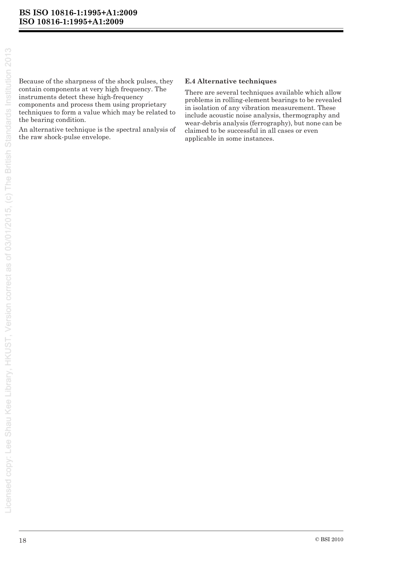Because of the sharpness of the shock pulses, they contain components at very high frequency. The instruments detect these high-frequency components and process them using proprietary techniques to form a value which may be related to the bearing condition.

An alternative technique is the spectral analysis of the raw shock-pulse envelope.

#### **E.4 Alternative techniques**

There are several techniques available which allow problems in rolling-element bearings to be revealed in isolation of any vibration measurement. These include acoustic noise analysis, thermography and wear-debris analysis (ferrography), but none can be claimed to be successful in all cases or even applicable in some instances.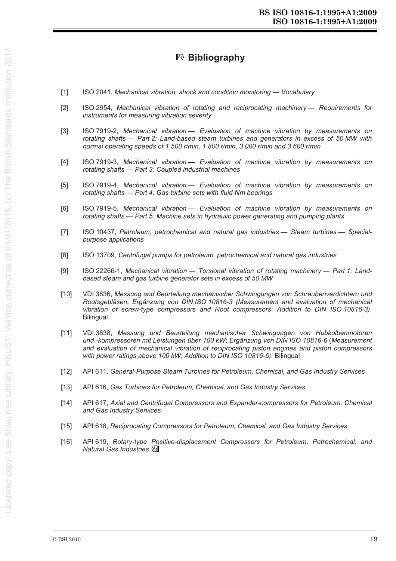## **Bibliography**

- [1] ISO 2041, *Mechanical vibration, shock and condition monitoring Vocabulary*
- [2] ISO 2954, *Mechanical vibration of rotating and reciprocating machinery Requirements for instruments for measuring vibration severity*
- [3] ISO 7919-2, *Mechanical vibration Evaluation of machine vibration by measurements on rotating shafts — Part 2: Land-based steam turbines and generators in excess of 50 MW with normal operating speeds of 1 500 r/min, 1 800 r/min, 3 000 r/min and 3 600 r/min*
- [4] ISO 7919-3, *Mechanical vibration Evaluation of machine vibration by measurements on rotating shafts — Part 3: Coupled industrial machines*
- [5] ISO 7919-4, *Mechanical vibration Evaluation of machine vibration by measurements on rotating shafts — Part 4: Gas turbine sets with fluid-film bearings*
- [6] ISO 7919-5, *Mechanical vibration Evaluation of machine vibration by measurements on rotating shafts — Part 5: Machine sets in hydraulic power generating and pumping plants*
- [7] ISO 10437, Petroleum, petrochemical and natural gas industries Steam turbines Special*purpose applications*
- [8] ISO 13709, *Centrifugal pumps for petroleum, petrochemical and natural gas industries*
- [9] ISO 22266-1, *Mechanical vibration Torsional vibration of rotating machinery Part 1: Landbased steam and gas turbine generator sets in excess of 50 MW*
- [10] VDI 3836, *Messung und Beurteilung mechanischer Schwingungen von Schraubenverdichtern und Rootsgebläsen*; *Ergänzung von DIN ISO 10816-3 (Measurement and evaluation of mechanical vibration of screw-type compressors and Root compressors*; *Addition to DIN ISO 10816-3)*. **Bilingual**
- [11] VDI 3838, *Messung und Beurteilung mechanischer Schwingungen von Hubkolbenmotoren und -kompressoren mit Leistungen über 100 kW*; *Ergänzung von DIN ISO 10816-6* (*Measurement and evaluation of mechanical vibration of reciprocating piston engines and piston compressors with power ratings above 100 kW*; *Addition to DIN ISO 10816-6)*. Bilingual
- [12] API 611, *General-Purpose Steam Turbines for Petroleum, Chemical, and Gas Industry Services*
- [13] API 616, *Gas Turbines for Petroleum, Chemical, and Gas Industry Services*
- [14] API 617, *Axial and Centrifugal Compressors and Expander-compressors for Petroleum, Chemical and Gas Industry Services*
- [15] API 618, *Reciprocating Compressors for Petroleum, Chemical, and Gas Industry Services*
- [16] API 619, *Rotary-type Positive-displacement Compressors for Petroleum, Petrochemical, and*  **Natural Gas Industries** (A1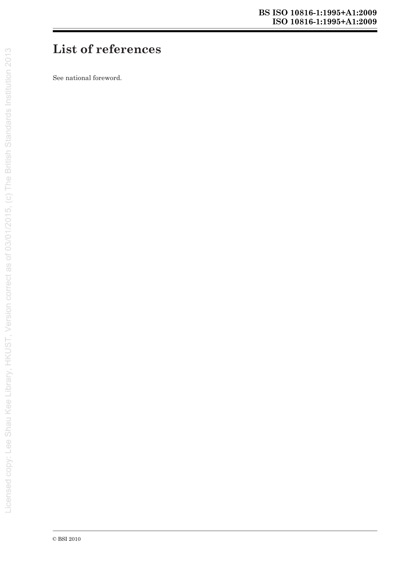# **List of references**

See national foreword.